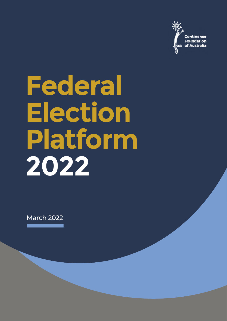

# **Federal Election Platform 2022**

March 2022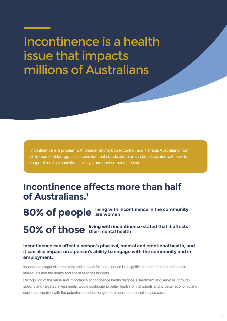# Incontinence is a health issue that impacts millions of Australians

Incontinence is a problem with bladder and/or bowel control, and it affects Australians from childhood to older age. It is a condition that stands alone or can be associated with a wide range of medical conditions, lifestyle and environmental factors.

### **Incontinence affects more than half of Australians.1**

 $\frac{1}{2}$ **80% of people living with incontinence in the community are women**

**50% of those living with incontinence stated that it affects their mental health**

#### **Incontinence can affect a person's physical, mental and emotional health, and it can also impact on a person's ability to engage with the community and in employment.**

Inadequate diagnosis, treatment and support for incontinence is a significant health burden and cost to individuals and the health and social services budgets.

Recognition of the value and importance of continence health diagnosis, treatment and services, through specific and targeted investments, would contribute to better health for individuals and to better economic and social participation with the potential to reduce longer term health and social service costs.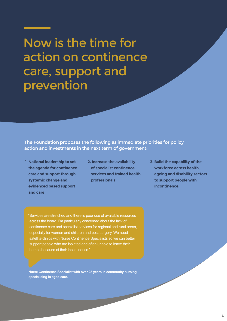Now is the time for action on continence care, support and prevention

The Foundation proposes the following as immediate priorities for policy action and investments in the next term of government:

- **1. National leadership to set the agenda for continence care and support through systemic change and evidenced based support and care**
- **2. Increase the availability of specialist continence services and trained health professionals**
- **3. Build the capability of the workforce across health, ageing and disability sectors to support people with incontinence.**

"Services are stretched and there is poor use of available resources across the board. I'm particularly concerned about the lack of continence care and specialist services for regional and rural areas, especially for women and children and post-surgery. We need satellite clinics with Nurse Continence Specialists so we can better support people who are isolated and often unable to leave their homes because of their incontinence."

**Nurse Continence Specialist with over 25 years in community nursing, specialising in aged care.**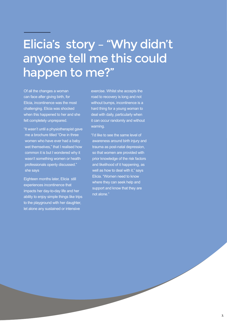# Elicia's story – "Why didn't anyone tell me this could happen to me?"

Of all the changes a woman can face after giving birth, for Elicia, incontinence was the most challenging. Elicia was shocked when this happened to her and she felt completely unprepared.

"It wasn't until a physiotherapist gave me a brochure titled "One in three women who have ever had a baby wet themselves," that I realised how common it is but I wondered why it wasn't something women or health professionals openly discussed." she says

Eighteen months later, Elicia still experiences incontinence that impacts her day-to-day life and her ability to enjoy simple things like trips to the playground with her daughter, let alone any sustained or intensive

exercise. Whilst she accepts the road to recovery is long and not without bumps, incontinence is a hard thing for a young woman to deal with daily, particularly when it can occur randomly and without warning.

"I'd like to see the same level of awareness around birth injury and trauma as post-natal depression, so that women are provided with prior knowledge of the risk factors and likelihood of it happening, as well as how to deal with it," says Elicia. "Women need to know where they can seek help and support and know that they are not alone."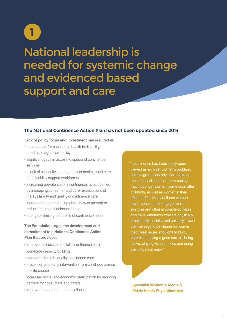# National leadership is needed for systemic change and evidenced based support and care **1**

#### **The National Continence Action Plan has not been updated since 2014.**

**Lack of policy focus and investment has resulted in:** 

- poor support for continence health in disability, health and aged care policy
- significant gaps in access to specialist continence services
- a lack of capability in the generalist health, aged care and disability support workforces
- increasing prevalence of incontinence, accompanied by increasing consumer and carer expectations of the availability and quality of continence care
- reduce the impact of incontinence • inadequate understanding about how to prevent or
- data gaps limiting the profile of continence health.

**The Foundation urges the development and commitment to a National Continence Action Plan that provides:**

- improved access to specialist continence care
- workforce capacity building,
- standards for safe, quality continence care
- prevention and early intervention from childhood across the life course
- increased social and economic participation by reducing barriers for consumers and carers
- improved research and data collection.

"Incontinence has traditionally been viewed as an older woman's problem, but this group certainly don't make up most of my clients. I am now seeing much younger women, some soon after childbirth, as well as women in their 40s and 50s. Many of these women have reduced their engagement in exercise and other enjoyable activities and have withdrawn from life physically, emotionally, socially, and sexually. I want the message to be clearer for women that these issues shouldn't hold you back from having a good sex life, being active, playing with your kids and doing the things you enjoy."

**Specialist Women's, Men's & Pelvic Health Physiotherapist**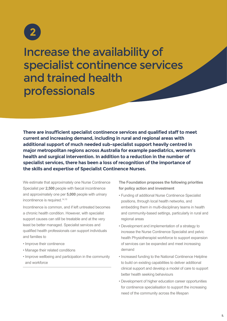

Increase the availability of specialist continence services and trained health professionals

**There are insufficient specialist continence services and qualified staff to meet current and increasing demand, including in rural and regional areas with additional support of much needed sub-specialist support heavily centred in major metropolitan regions across Australia for example paediatrics, women's health and surgical intervention. In addition to a reduction in the number of specialist services, there has been a loss of recognition of the importance of the skills and expertise of Specialist Continence Nurses.**

We estimate that approximately one Nurse Continence Specialist per **2,500** people with faecal incontinence and approximately one per **5,000** people with urinary incontinence is required.<sup>14,15</sup>

Incontinence is common, and if left untreated becomes a chronic health condition. However, with specialist support causes can still be treatable and at the very least be better managed. Specialist services and qualified health professionals can support individuals and families to

- Improve their continence
- Manage their related conditions
- Improve wellbeing and participation in the community and workforce

**The Foundation proposes the following priorities for policy action and investment**

- Funding of additional Nurse Continence Specialist positions, through local health networks, and embedding them in multi-disciplinary teams in health and community-based settings, particularly in rural and regional areas
- Development and implementation of a strategy to increase the Nurse Continence Specialist and pelvic health Physiotherapist workforce to support expansion of services can be expanded and meet increasing demand
- Increased funding to the National Continence Helpline to build on existing capabilities to deliver additional clinical support and develop a model of care to support better health seeking behaviours
- Development of higher education career opportunities for continence specialisation to support the increasing need of the community across the lifespan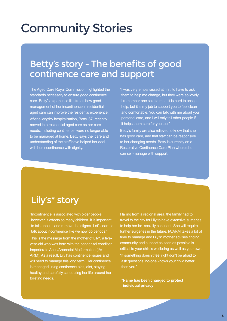# Community Stories

### Betty's story - The benefits of good continence care and support

The Aged Care Royal Commission highlighted the standards necessary to ensure good continence care. Betty's experience illustrates how good management of her incontinence in residential aged care can improve the resident's experience. After a lengthy hospitalisation, Betty, 87, recently moved into residential aged care as her care needs, including continence, were no longer able to be managed at home. Betty says the care and understanding of the staff have helped her deal with her incontinence with dignity.

"I was very embarrassed at first, to have to ask them to help me change, but they were so lovely. I remember one said to me – it is hard to accept help, but it is my job to support you to feel clean and comfortable. You can talk with me about your personal care, and I will only tell other people if it helps them care for you too."

Betty's family are also relieved to know that she has good care, and that staff can be responsive to her changing needs. Betty is currently on a Restorative Continence Care Plan where she can self-manage with support.

### Lily's\* story

"Incontinence is associated with older people; however, it affects so many children. It is important to talk about it and remove the stigma. Let's learn to talk about incontinence like we now do periods." This is the message from the mother of Lily\*, a fiveyear-old who was born with the congenital condition Imperforate Anus/Anorectal Malformation (IA/ ARM). As a result, Lily has continence issues and will need to manage this long term. Her continence is managed using continence aids, diet, staying healthy and carefully scheduling her life around her toileting needs.

Hailing from a regional area, the family had to travel to the city for Lily to have extensive surgeries to help her be socially continent. She will require further surgeries in the future. IA/ARM takes a lot of time to manage and Lily's\* mother advises finding community and support as soon as possible is critical to your child's wellbeing as well as your own. "If something doesn't feel right don't be afraid to ask questions, no-one knows your child better than you."

**\*Name has been changed to protect individual privacy**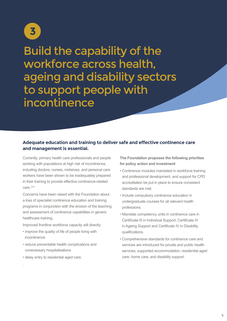

Build the capability of the workforce across health, ageing and disability sectors to support people with incontinence

#### **Adequate education and training to deliver safe and effective continence care and management is essential.**

Currently, primary health care professionals and people working with populations at high risk of incontinence, including doctors, nurses, midwives, and personal care workers have been shown to be inadequately prepared in their training to provide effective continence-related  $car<sub>P</sub>$ .5-8

Concerns have been raised with the Foundation about a loss of specialist continence education and training programs in conjunction with the erosion of the teaching and assessment of continence capabilities in generic healthcare training.

Improved frontline workforce capacity will directly:

- improve the quality of life of people living with incontinence
- reduce preventable health complications and unnecessary hospitalisations
- delay entry to residential aged care.

.

**The Foundation proposes the following priorities for policy action and investment**

- Continence modules mandated in workforce training and professional development, and support for CPD accreditation be put in place to ensure consistent standards are met.
- Include compulsory continence education in undergraduate courses for all relevant health professions.
- Mandate competency units in continence care in Certificate III in Individual Support, Certificate IV in Ageing Support and Certificate IV in Disability qualifications.
- Comprehensive standards for continence care and services are introduced for private and public health services, supported accommodation, residential aged care, home care, and disability support.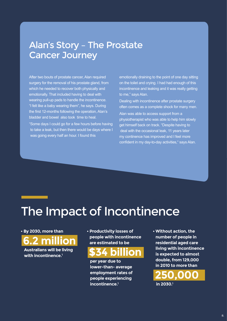### Alan's Story – The Prostate Cancer Journey

After two bouts of prostate cancer, Alan required surgery for the removal of his prostate gland, from which he needed to recover both physically and emotionally. That included having to deal with wearing pull-up pads to handle the incontinence. "I felt like a baby wearing them", he says. During the first 12-months following the operation, Alan's bladder and bowel also took time to heal.

"Some days I could go for a few hours before having to take a leak, but then there would be days where I was going every half an hour. I found this

emotionally draining to the point of one day sitting on the toilet and crying. I had had enough of this incontinence and leaking and it was really getting to me," says Alan.

Dealing with incontinence after prostate surgery often comes as a complete shock for many men.

Alan was able to access support from a physiotherapist who was able to help him slowly get himself back on track. "Despite having to deal with the occasional leak, 11 years later my continence has improved and I feel more confident in my day-to-day activities," says Alan.

## The Impact of Incontinence

**• By 2030, more than** 

**6.2 million**

**Australians will be living with incontinence.1**

**• Productivity losses of people with incontinence are estimated to be** 

### **\$34 billion**

**per year due to lower-than- average employment rates of people experiencing incontinence.1**

**• Without action, the number of people in residential aged care living with incontinence is expected to almost double, from 129,000 in 2010 to more than**

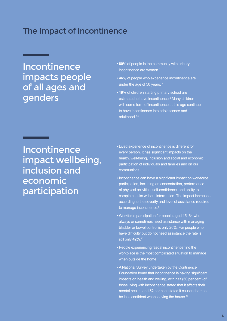### The Impact of Incontinence

### Incontinence impacts people of all ages and genders

- **80%** of people in the community with urinary incontinence are women. $1$
- **46%** of people who experience incontinence are under the age of 50 years.<sup>1</sup>
- **19%** of children starting primary school are estimated to have incontinence.<sup>2</sup> Many children with some form of incontinence at this age continue to have incontinence into adolescence and adulthood.3,4

Incontinence impact wellbeing, inclusion and economic participation

- Lived experience of incontinence is different for every person. It has significant impacts on the health, well-being, inclusion and social and economic participation of individuals and families and on our communities.
- Incontinence can have a significant impact on workforce participation, including on concentration, performance of physical activities, self-confidence, and ability to complete tasks without interruption. The impact increases according to the severity and level of assistance required to manage incontinence.<sup>9</sup>
- Workforce participation for people aged 15–64 who always or sometimes need assistance with managing bladder or bowel control is only 20%. For people who have difficulty but do not need assistance the rate is still only **42%.**<sup>10</sup>
- People experiencing faecal incontinence find the workplace is the most complicated situation to manage when outside the home.<sup>11</sup>
- A National Survey undertaken by the Continence Foundation found that incontinence is having significant impacts on health and welling, with half (50 per cent) of those living with incontinence stated that it affects their mental health, and **52** per cent stated it causes them to be less confident when leaving the house.<sup>12</sup>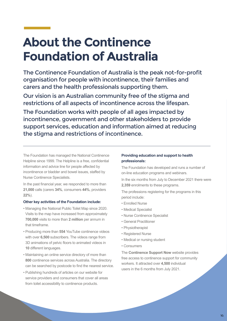# **About the Continence Foundation of Australia**

The Continence Foundation of Australia is the peak not-for-profit organisation for people with incontinence, their families and carers and the health professionals supporting them.

Our vision is an Australian community free of the stigma and restrictions of all aspects of incontinence across the lifespan.

The Foundation works with people of all ages impacted by incontinence, government and other stakeholders to provide support services, education and information aimed at reducing the stigma and restrictions of incontinence.

The Foundation has managed the National Continence Helpline since 1999. The Helpline is a free, confidential information and advice line for people affected by incontinence or bladder and bowel issues, staffed by Nurse Continence Specialists.

In the past financial year, we responded to more than **21,000** calls (carers **34%**, consumers **44%**, providers **22%**).

#### **Other key activities of the Foundation include:**

- Managing the National Public Toilet Map since 2020. Visits to the map have increased from approximately **700,000** visits to more than **2 million** per annum in that timeframe.
- Producing more than **554** YouTube continence videos with over **6,500** subscribers. The videos range from 3D animations of pelvic floors to animated videos in **10** different languages.
- Maintaining an online service directory of more than **800** continence services across Australia. The directory can be searched by postcode to find the nearest service.
- Publishing hundreds of articles on our website for service providers and consumers that cover all areas from toilet accessibility to continence products.

#### **Providing education and support to health professionals:**

The Foundation has developed and runs a number of on-line education programs and webinars.

In the six months from July to December 2021 there were **2,359** enrolments to these programs.

The professions registering for the programs in this period include:

- Enrolled Nurse
- Medical Specialist
- Nurse Continence Specialist
- General Practitioner
- Physiotherapist
- Registered Nurse
- Medical or nursing student
- Consumers

The **Continence Support Now** website provides free access to continence support for community workers. It attracted over **4,500** individual users in the 6 months from July 2021.